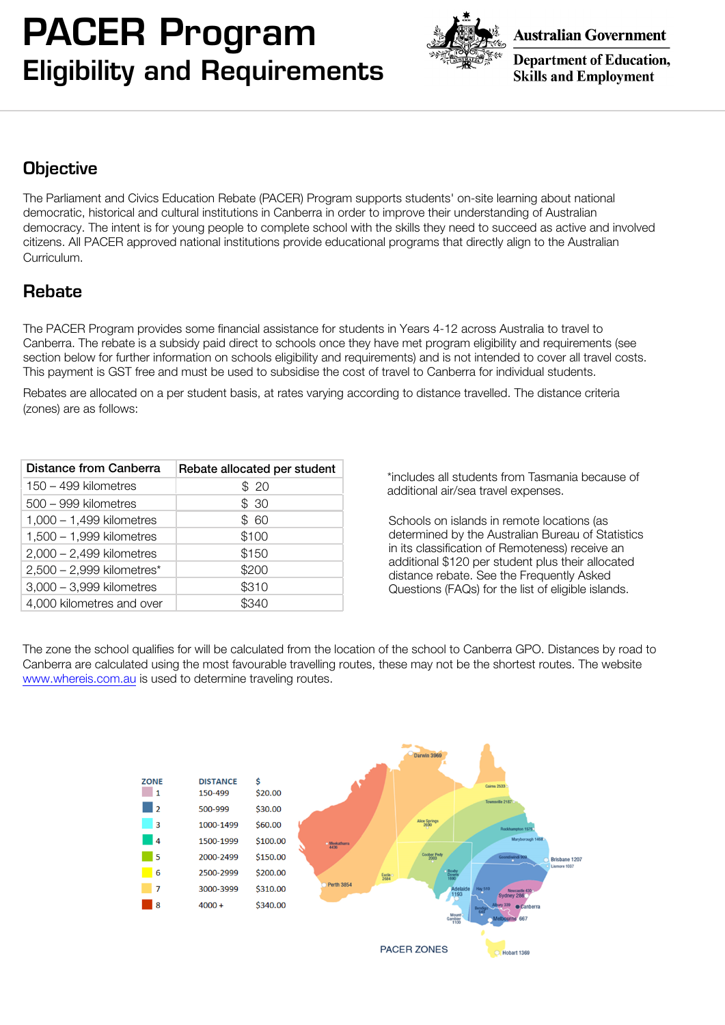## PACER Program Eligibility and Requirements



**Australian Government** 

**Department of Education, Skills and Employment** 

### **Objective**

The Parliament and Civics Education Rebate (PACER) Program supports students' on-site learning about national democratic, historical and cultural institutions in Canberra in order to improve their understanding of Australian democracy. The intent is for young people to complete school with the skills they need to succeed as active and involved citizens. All PACER approved national institutions provide educational programs that directly align to the Australian Curriculum.

#### Rebate

The PACER Program provides some financial assistance for students in Years 4-12 across Australia to travel to Canberra. The rebate is a subsidy paid direct to schools once they have met program eligibility and requirements (see section below for further information on schools eligibility and requirements) and is not intended to cover all travel costs. This payment is GST free and must be used to subsidise the cost of travel to Canberra for individual students.

Rebates are allocated on a per student basis, at rates varying according to distance travelled. The distance criteria (zones) are as follows:

| Distance from Canberra      | Rebate allocated per student |
|-----------------------------|------------------------------|
| 150 - 499 kilometres        | \$20                         |
| 500 - 999 kilometres        | \$30                         |
| $1,000 - 1,499$ kilometres  | \$60                         |
| $1,500 - 1,999$ kilometres  | \$100                        |
| $2,000 - 2,499$ kilometres  | \$150                        |
| $2,500 - 2,999$ kilometres* | \$200                        |
| $3,000 - 3,999$ kilometres  | \$310                        |
| 4,000 kilometres and over   | S340                         |

\*includes all students from Tasmania because of additional air/sea travel expenses.

Schools on islands in remote locations (as determined by the Australian Bureau of Statistics in its classification of Remoteness) receive an additional \$120 per student plus their allocated distance rebate. See the Frequently Asked Questions (FAQs) for the list of eligible islands.

The zone the school qualifies for will be calculated from the location of the school to Canberra GPO. Distances by road to Canberra are calculated using the most favourable travelling routes, these may not be the shortest routes. The website www.whereis.com.au is used to determine traveling routes.

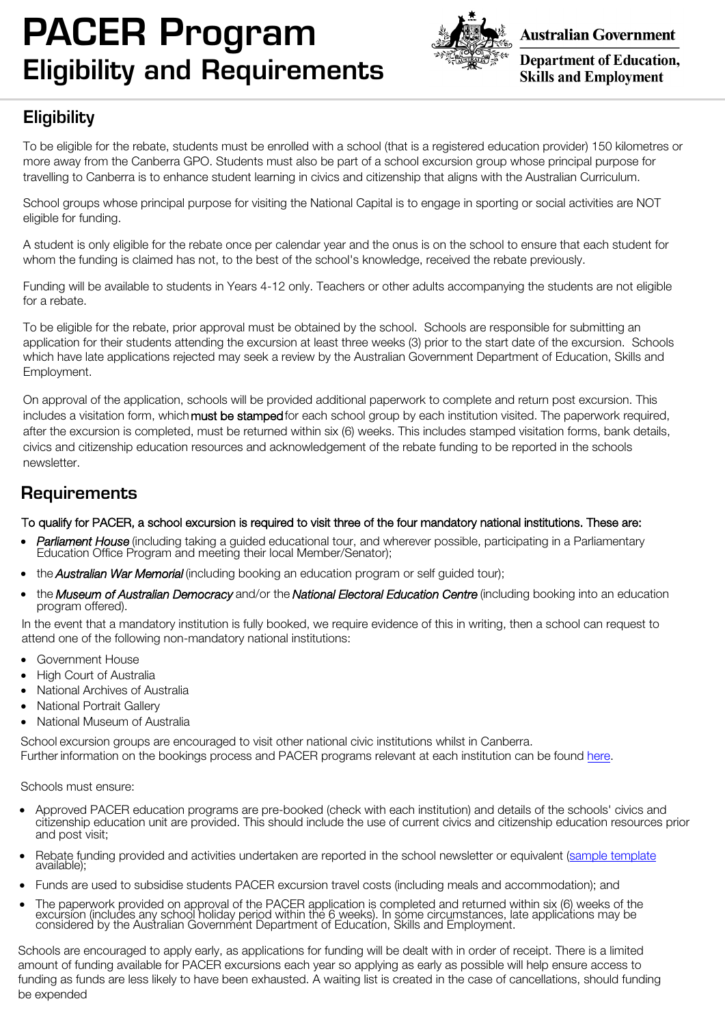# PACER Program Eligibility and Requirements



**Australian Government** 

**Department of Education, Skills and Employment** 

## **Eligibility**

To be eligible for the rebate, students must be enrolled with a school (that is a registered education provider) 150 kilometres or more away from the Canberra GPO. Students must also be part of a school excursion group whose principal purpose for travelling to Canberra is to enhance student learning in civics and citizenship that aligns with the Australian Curriculum.

School groups whose principal purpose for visiting the National Capital is to engage in sporting or social activities are NOT eligible for funding.

A student is only eligible for the rebate once per calendar year and the onus is on the school to ensure that each student for whom the funding is claimed has not, to the best of the school's knowledge, received the rebate previously.

Funding will be available to students in Years 4-12 only. Teachers or other adults accompanying the students are not eligible for a rebate.

To be eligible for the rebate, prior approval must be obtained by the school. Schools are responsible for submitting an application for their students attending the excursion at least three weeks (3) prior to the start date of the excursion. Schools which have late applications rejected may seek a review by the Australian Government Department of Education, Skills and Employment.

On approval of the application, schools will be provided additional paperwork to complete and return post excursion. This includes a visitation form, which must be stamped for each school group by each institution visited. The paperwork required, after the excursion is completed, must be returned within six (6) weeks. This includes stamped visitation forms, bank details, civics and citizenship education resources and acknowledgement of the rebate funding to be reported in the schools newsletter.

#### **Requirements**

#### To qualify for PACER, a school excursion is required to visit three of the four mandatory national institutions. These are:

- Parliament House (including taking a guided educational tour, and wherever possible, participating in a Parliamentary Education Office Program and meeting their local Member/Senator);
- the **Australian War Memorial** (including booking an education program or self quided tour);
- the Museum of Australian Democracy and/or the National Electoral Education Centre (including booking into an education program offered).

In the event that a mandatory institution is fully booked, we require evidence of this in writing, then a school can request to attend one of the following non-mandatory national institutions:

- Government House
- High Court of Australia
- National Archives of Australia
- National Portrait Gallery
- National Museum of Australia

School excursion groups are encouraged to visit other national civic institutions whilst in Canberra. Further information on the bookings process and PACER programs relevant at each institution can be found [here](https://www.pacer.org.au/national-institutions/mandatory-attractions/).

Schools must ensure:

- Approved PACER education programs are pre-booked (check with each institution) and details of the schools' civics and citizenship education unit are provided. This should include the use of current civics and citizenship education resources prior and post visit;
- Rebate funding provided and activities undertaken are reported in the school newsletter or equivalent ([sample template](https://www.pacer.org.au/wp-content/uploads/2019/07/NEW-PACER-Newsletter-Info-sample.pdf) available);
- Funds are used to subsidise students PACER excursion travel costs (including meals and accommodation); and
- The paperwork provided on approval of the PACER application is completed and returned within six (6) weeks of the<br>excursion (includes any school holiday period within the 6 weeks). In some circumstances, late application considered by the Australian Government Department of Education, Skills and Employment.

Schools are encouraged to apply early, as applications for funding will be dealt with in order of receipt. There is a limited amount of funding available for PACER excursions each year so applying as early as possible will help ensure access to funding as funds are less likely to have been exhausted. A waiting list is created in the case of cancellations, should funding be expended